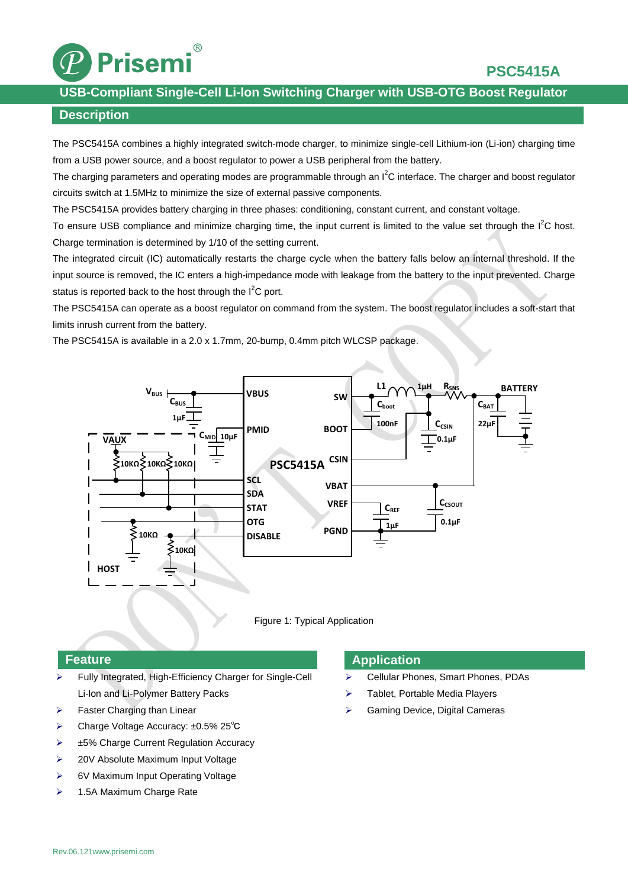

### **USB-Compliant Single-Cell Li-lon Switching Charger with USB-OTG Boost Regulator**

### **Description**

The PSC5415A combines a highly integrated switch-mode charger, to minimize single-cell Lithium-ion (Li-ion) charging time from a USB power source, and a boost regulator to power a USB peripheral from the battery.

The charging parameters and operating modes are programmable through an  $I^2C$  interface. The charger and boost regulator circuits switch at 1.5MHz to minimize the size of external passive components.

The PSC5415A provides battery charging in three phases: conditioning, constant current, and constant voltage.

To ensure USB compliance and minimize charging time, the input current is limited to the value set through the  $I^2C$  host. Charge termination is determined by 1/10 of the setting current.

The integrated circuit (IC) automatically restarts the charge cycle when the battery falls below an internal threshold. If the input source is removed, the IC enters a high-impedance mode with leakage from the battery to the input prevented. Charge status is reported back to the host through the  $I^2C$  port.

The PSC5415A can operate as a boost regulator on command from the system. The boost regulator includes a soft-start that limits inrush current from the battery.

The PSC5415A is available in a 2.0 x 1.7mm, 20-bump, 0.4mm pitch WLCSP package.





### **Feature**

- Fully Integrated, High-Efficiency Charger for Single-Cell Li-lon and Li-Polymer Battery Packs
- $\triangleright$  Faster Charging than Linear
- Charge Voltage Accuracy: ±0.5% 25℃
- $\geq$   $\pm$ 5% Charge Current Regulation Accuracy
- **►** 20V Absolute Maximum Input Voltage
- ▶ 6V Maximum Input Operating Voltage
- $\geq$  1.5A Maximum Charge Rate

### **Application**

- Cellular Phones, Smart Phones, PDAs
- $\triangleright$  Tablet, Portable Media Players
- Gaming Device, Digital Cameras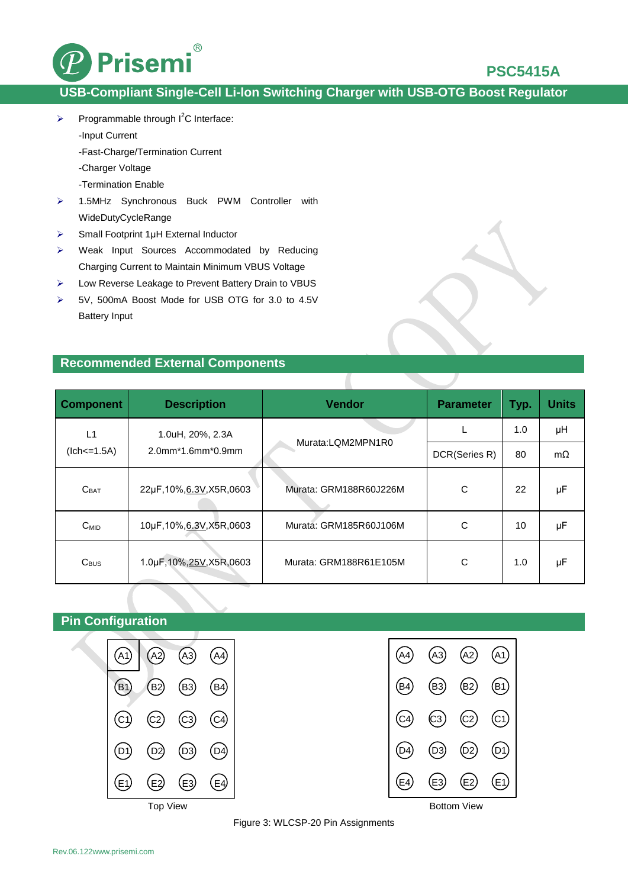

# **USB-Compliant Single-Cell Li-lon Switching Charger with USB-OTG Boost Regulator**

- $\triangleright$  Programmable through  $I^2C$  Interface:
	- -Input Current
	- -Fast-Charge/Termination Current
	- -Charger Voltage
	- -Termination Enable
- > 1.5MHz Synchronous Buck PWM Controller with WideDutyCycleRange
- $\triangleright$  Small Footprint 1µH External Inductor
- Weak Input Sources Accommodated by Reducing Charging Current to Maintain Minimum VBUS Voltage
- Low Reverse Leakage to Prevent Battery Drain to VBUS
- 5V, 500mA Boost Mode for USB OTG for 3.0 to 4.5V Battery Input

### **Recommended External Components**

| <b>Component</b> | <b>Description</b>                       | <b>Vendor</b>          | <b>Parameter</b> | Typ. | <b>Units</b> |
|------------------|------------------------------------------|------------------------|------------------|------|--------------|
| L1               | 1.0uH, 20%, 2.3A<br>$2.0$ mm*1.6mm*0.9mm | Murata:LQM2MPN1R0      | L                | 1.0  | μH           |
| $(lch < = 1.5A)$ |                                          |                        | DCR(Series R)    | 80   | $m\Omega$    |
| C <sub>BAT</sub> | 22µF,10%,6.3V,X5R,0603                   | Murata: GRM188R60J226M | C                | 22   | μF           |
| $C_{MID}$        | 10µF,10%,6.3V,X5R,0603                   | Murata: GRM185R60J106M | C                | 10   | μF           |
| $C_{\text{BUS}}$ | 1.0µF,10%,25V,X5R,0603                   | Murata: GRM188R61E105M | C                | 1.0  | μF           |

 $\overline{\phantom{a}}$ 

# **Pin Configuration**





Figure 3: WLCSP-20 Pin Assignments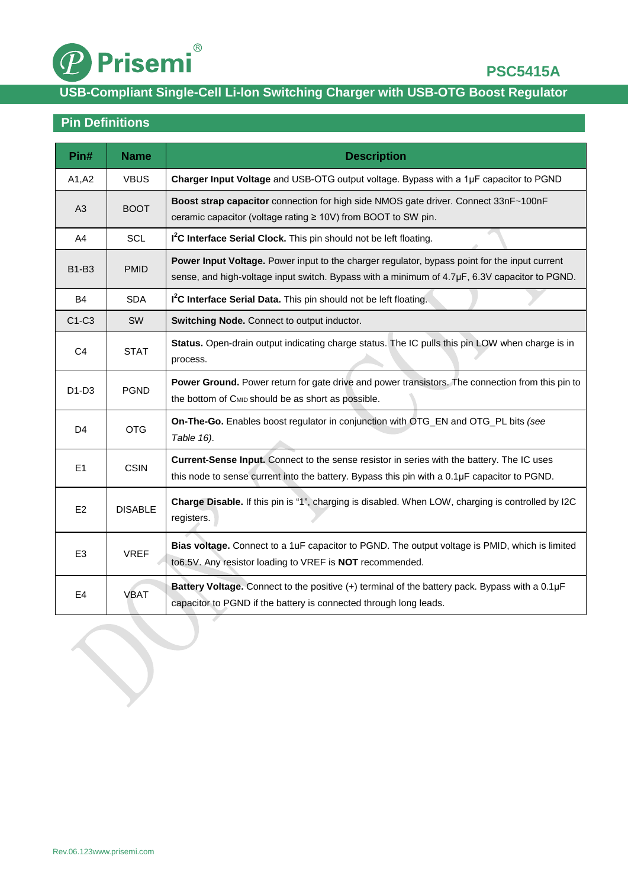

# **USB-Compliant Single-Cell Li-lon Switching Charger with USB-OTG Boost Regulator**

# **Pin Definitions**

| Pin#           | <b>Name</b>    | <b>Description</b>                                                                                                                                                                             |  |  |
|----------------|----------------|------------------------------------------------------------------------------------------------------------------------------------------------------------------------------------------------|--|--|
| A1, A2         | <b>VBUS</b>    | Charger Input Voltage and USB-OTG output voltage. Bypass with a 1µF capacitor to PGND                                                                                                          |  |  |
| A3             | <b>BOOT</b>    | Boost strap capacitor connection for high side NMOS gate driver. Connect 33nF~100nF<br>ceramic capacitor (voltage rating ≥ 10V) from BOOT to SW pin.                                           |  |  |
| A4             | <b>SCL</b>     | I <sup>2</sup> C Interface Serial Clock. This pin should not be left floating.                                                                                                                 |  |  |
| <b>B1-B3</b>   | <b>PMID</b>    | Power Input Voltage. Power input to the charger regulator, bypass point for the input current<br>sense, and high-voltage input switch. Bypass with a minimum of 4.7µF, 6.3V capacitor to PGND. |  |  |
| <b>B4</b>      | <b>SDA</b>     | I <sup>2</sup> C Interface Serial Data. This pin should not be left floating.                                                                                                                  |  |  |
| $C1-C3$        | <b>SW</b>      | Switching Node. Connect to output inductor.                                                                                                                                                    |  |  |
| C <sub>4</sub> | <b>STAT</b>    | Status. Open-drain output indicating charge status. The IC pulls this pin LOW when charge is in<br>process.                                                                                    |  |  |
| $D1-D3$        | <b>PGND</b>    | Power Ground. Power return for gate drive and power transistors. The connection from this pin to<br>the bottom of CMID should be as short as possible.                                         |  |  |
| D <sub>4</sub> | <b>OTG</b>     | On-The-Go. Enables boost regulator in conjunction with OTG_EN and OTG_PL bits (see<br>Table 16).                                                                                               |  |  |
| E1             | <b>CSIN</b>    | Current-Sense Input. Connect to the sense resistor in series with the battery. The IC uses<br>this node to sense current into the battery. Bypass this pin with a 0.1µF capacitor to PGND.     |  |  |
| E <sub>2</sub> | <b>DISABLE</b> | Charge Disable. If this pin is "1", charging is disabled. When LOW, charging is controlled by I2C<br>registers.                                                                                |  |  |
| E <sub>3</sub> | <b>VREF</b>    | Bias voltage. Connect to a 1uF capacitor to PGND. The output voltage is PMID, which is limited<br>to6.5V. Any resistor loading to VREF is NOT recommended.                                     |  |  |
| E4             | VBAT           | Battery Voltage. Connect to the positive (+) terminal of the battery pack. Bypass with a 0.1µF<br>capacitor to PGND if the battery is connected through long leads.                            |  |  |

 $\bigcirc$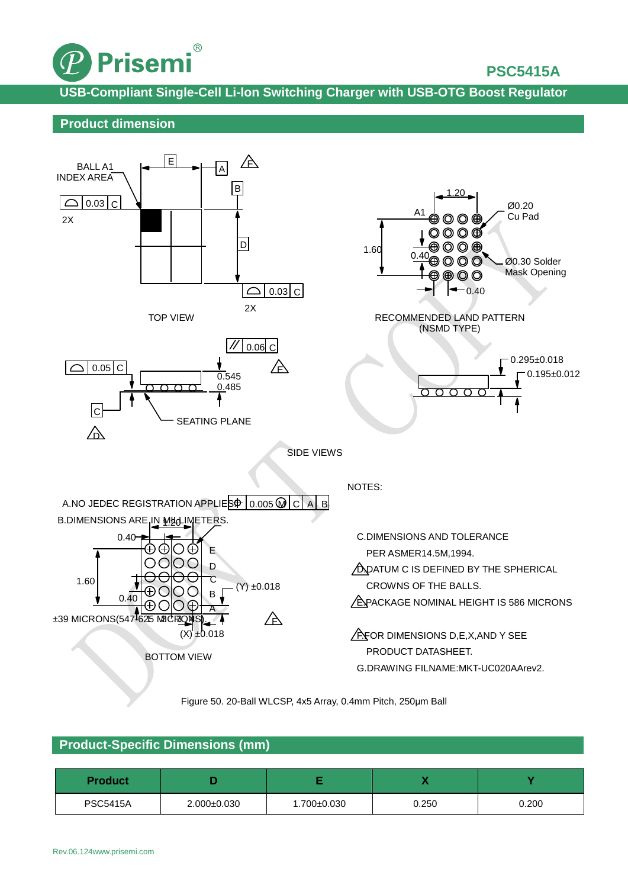

**USB-Compliant Single-Cell Li-lon Switching Charger with USB-OTG Boost Regulator**

### **Product dimension**



Figure 50. 20-Ball WLCSP, 4x5 Array, 0.4mm Pitch, 250μm Ball

## **Product-Specific Dimensions (mm)**

| <b>Product</b>  |                   |                 | . .   |       |
|-----------------|-------------------|-----------------|-------|-------|
| <b>PSC5415A</b> | $2.000 \pm 0.030$ | $1.700 + 0.030$ | 0.250 | 0.200 |